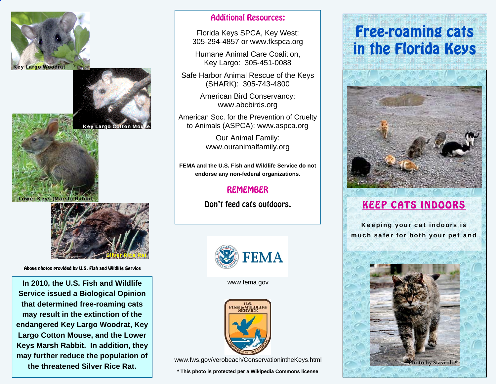



**Key Largo Cotton M** 





Above photos provided by U.S. Fish and Wildlife Service

**In 2010, the U.S. Fish and Wildlife Service issued a Biological Opinion that determined free-roaming cats may result in the extinction of the endangered Key Largo Woodrat, Key Largo Cotton Mouse, and the Lower Keys Marsh Rabbit. In addition, they may further reduce the population of the threatened Silver Rice Rat.** 

#### Additional Resources:

Florida Keys SPCA, Key West: 305-294-4857 or www.fkspca.org

Humane Animal Care Coalition, Key Largo: 305-451-0088

Safe Harbor Animal Rescue of the Keys (SHARK): 305-743-4800

> American Bird Conservancy: www.abcbirds.org

American Soc. for the Prevention of Cruelty to Animals (ASPCA): www.aspca.org

> Our Animal Family: www.ouranimalfamily.org

**FEMA and the U.S. Fish and Wildlife Service do not endorse any non-federal organizations.** 

### REMEMBER

Don't feed cats outdoors.



www.fema.gov



**\* This photo is protected per a Wikipedia Commons license** 

# Free-roaming cats in the Florida Keys



## KEEP CATS INDOORS

Keeping your cat indoors is much safer for both your pet and